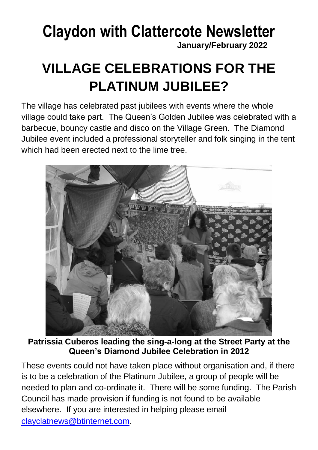# **Claydon with Clattercote Newsletter**

**January/February 2022**

# **VILLAGE CELEBRATIONS FOR THE PLATINUM JUBILEE?**

The village has celebrated past jubilees with events where the whole village could take part. The Queen's Golden Jubilee was celebrated with a barbecue, bouncy castle and disco on the Village Green. The Diamond Jubilee event included a professional storyteller and folk singing in the tent which had been erected next to the lime tree.



**Patrissia Cuberos leading the sing-a-long at the Street Party at the Queen's Diamond Jubilee Celebration in 2012**

These events could not have taken place without organisation and, if there is to be a celebration of the Platinum Jubilee, a group of people will be needed to plan and co-ordinate it. There will be some funding. The Parish Council has made provision if funding is not found to be available elsewhere. If you are interested in helping please email [clayclatnews@btinternet.com](mailto:clayclatnews@btinternet.com).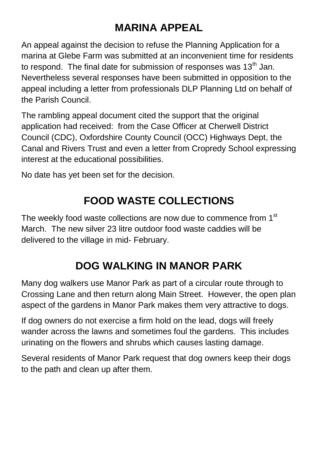### **MARINA APPEAL**

An appeal against the decision to refuse the Planning Application for a marina at Glebe Farm was submitted at an inconvenient time for residents to respond. The final date for submission of responses was  $13<sup>th</sup>$  Jan. Nevertheless several responses have been submitted in opposition to the appeal including a letter from professionals DLP Planning Ltd on behalf of the Parish Council.

The rambling appeal document cited the support that the original application had received: from the Case Officer at Cherwell District Council (CDC), Oxfordshire County Council (OCC) Highways Dept, the Canal and Rivers Trust and even a letter from Cropredy School expressing interest at the educational possibilities.

No date has yet been set for the decision.

### **FOOD WASTE COLLECTIONS**

The weekly food waste collections are now due to commence from 1<sup>st</sup> March. The new silver 23 litre outdoor food waste caddies will be delivered to the village in mid- February.

## **DOG WALKING IN MANOR PARK**

Many dog walkers use Manor Park as part of a circular route through to Crossing Lane and then return along Main Street. However, the open plan aspect of the gardens in Manor Park makes them very attractive to dogs.

If dog owners do not exercise a firm hold on the lead, dogs will freely wander across the lawns and sometimes foul the gardens. This includes urinating on the flowers and shrubs which causes lasting damage.

Several residents of Manor Park request that dog owners keep their dogs to the path and clean up after them.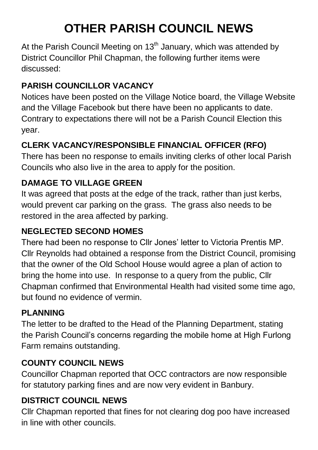# **OTHER PARISH COUNCIL NEWS**

At the Parish Council Meeting on 13<sup>th</sup> January, which was attended by District Councillor Phil Chapman, the following further items were discussed:

#### **PARISH COUNCILLOR VACANCY**

Notices have been posted on the Village Notice board, the Village Website and the Village Facebook but there have been no applicants to date. Contrary to expectations there will not be a Parish Council Election this year.

#### **CLERK VACANCY/RESPONSIBLE FINANCIAL OFFICER (RFO)**

There has been no response to emails inviting clerks of other local Parish Councils who also live in the area to apply for the position.

#### **DAMAGE TO VILLAGE GREEN**

It was agreed that posts at the edge of the track, rather than just kerbs, would prevent car parking on the grass. The grass also needs to be restored in the area affected by parking.

#### **NEGLECTED SECOND HOMES**

There had been no response to Cllr Jones' letter to Victoria Prentis MP. Cllr Reynolds had obtained a response from the District Council, promising that the owner of the Old School House would agree a plan of action to bring the home into use. In response to a query from the public, Cllr Chapman confirmed that Environmental Health had visited some time ago, but found no evidence of vermin.

#### **PLANNING**

The letter to be drafted to the Head of the Planning Department, stating the Parish Council's concerns regarding the mobile home at High Furlong Farm remains outstanding.

#### **COUNTY COUNCIL NEWS**

Councillor Chapman reported that OCC contractors are now responsible for statutory parking fines and are now very evident in Banbury.

#### **DISTRICT COUNCIL NEWS**

Cllr Chapman reported that fines for not clearing dog poo have increased in line with other councils.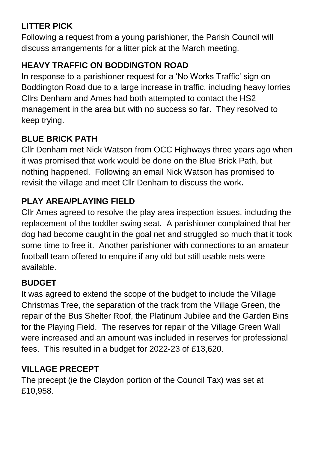#### **LITTER PICK**

Following a request from a young parishioner, the Parish Council will discuss arrangements for a litter pick at the March meeting.

#### **HEAVY TRAFFIC ON BODDINGTON ROAD**

In response to a parishioner request for a 'No Works Traffic' sign on Boddington Road due to a large increase in traffic, including heavy lorries Cllrs Denham and Ames had both attempted to contact the HS2 management in the area but with no success so far. They resolved to keep trying.

#### **BLUE BRICK PATH**

Cllr Denham met Nick Watson from OCC Highways three years ago when it was promised that work would be done on the Blue Brick Path, but nothing happened. Following an email Nick Watson has promised to revisit the village and meet Cllr Denham to discuss the work**.**

#### **PLAY AREA/PLAYING FIELD**

Cllr Ames agreed to resolve the play area inspection issues, including the replacement of the toddler swing seat. A parishioner complained that her dog had become caught in the goal net and struggled so much that it took some time to free it. Another parishioner with connections to an amateur football team offered to enquire if any old but still usable nets were available.

#### **BUDGET**

It was agreed to extend the scope of the budget to include the Village Christmas Tree, the separation of the track from the Village Green, the repair of the Bus Shelter Roof, the Platinum Jubilee and the Garden Bins for the Playing Field. The reserves for repair of the Village Green Wall were increased and an amount was included in reserves for professional fees. This resulted in a budget for 2022-23 of £13,620.

#### **VILLAGE PRECEPT**

The precept (ie the Claydon portion of the Council Tax) was set at £10,958.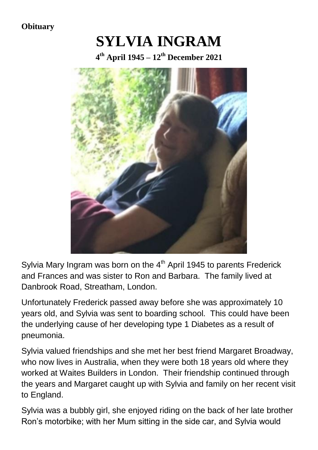**Obituary**

# **SYLVIA INGRAM**

**4 th April 1945 – 12th December 2021**



Sylvia Mary Ingram was born on the  $4<sup>th</sup>$  April 1945 to parents Frederick and Frances and was sister to Ron and Barbara. The family lived at Danbrook Road, Streatham, London.

Unfortunately Frederick passed away before she was approximately 10 years old, and Sylvia was sent to boarding school. This could have been the underlying cause of her developing type 1 Diabetes as a result of pneumonia.

Sylvia valued friendships and she met her best friend Margaret Broadway, who now lives in Australia, when they were both 18 years old where they worked at Waites Builders in London. Their friendship continued through the years and Margaret caught up with Sylvia and family on her recent visit to England.

Sylvia was a bubbly girl, she enjoyed riding on the back of her late brother Ron's motorbike; with her Mum sitting in the side car, and Sylvia would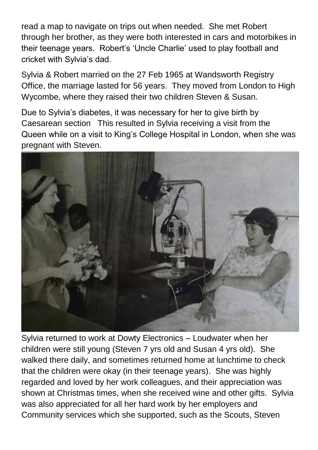read a map to navigate on trips out when needed. She met Robert through her brother, as they were both interested in cars and motorbikes in their teenage years. Robert's 'Uncle Charlie' used to play football and cricket with Sylvia's dad.

Sylvia & Robert married on the 27 Feb 1965 at Wandsworth Registry Office, the marriage lasted for 56 years. They moved from London to High Wycombe, where they raised their two children Steven & Susan.

Due to Sylvia's diabetes, it was necessary for her to give birth by Caesarean section This resulted in Sylvia receiving a visit from the Queen while on a visit to King's College Hospital in London, when she was pregnant with Steven.



Sylvia returned to work at Dowty Electronics – Loudwater when her children were still young (Steven 7 yrs old and Susan 4 yrs old). She walked there daily, and sometimes returned home at lunchtime to check that the children were okay (in their teenage years). She was highly regarded and loved by her work colleagues, and their appreciation was shown at Christmas times, when she received wine and other gifts. Sylvia was also appreciated for all her hard work by her employers and Community services which she supported, such as the Scouts, Steven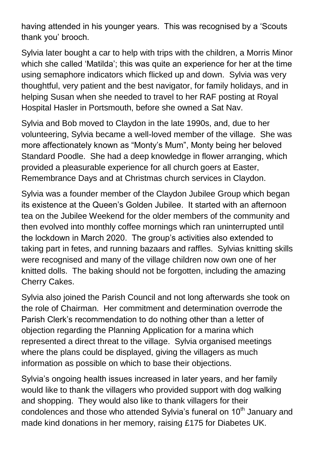having attended in his younger years. This was recognised by a 'Scouts thank you' brooch.

Sylvia later bought a car to help with trips with the children, a Morris Minor which she called 'Matilda'; this was quite an experience for her at the time using semaphore indicators which flicked up and down. Sylvia was very thoughtful, very patient and the best navigator, for family holidays, and in helping Susan when she needed to travel to her RAF posting at Royal Hospital Hasler in Portsmouth, before she owned a Sat Nav.

Sylvia and Bob moved to Claydon in the late 1990s, and, due to her volunteering, Sylvia became a well-loved member of the village. She was more affectionately known as "Monty's Mum", Monty being her beloved Standard Poodle. She had a deep knowledge in flower arranging, which provided a pleasurable experience for all church goers at Easter, Remembrance Days and at Christmas church services in Claydon.

Sylvia was a founder member of the Claydon Jubilee Group which began its existence at the Queen's Golden Jubilee. It started with an afternoon tea on the Jubilee Weekend for the older members of the community and then evolved into monthly coffee mornings which ran uninterrupted until the lockdown in March 2020. The group's activities also extended to taking part in fetes, and running bazaars and raffles. Sylvias knitting skills were recognised and many of the village children now own one of her knitted dolls. The baking should not be forgotten, including the amazing Cherry Cakes.

Sylvia also joined the Parish Council and not long afterwards she took on the role of Chairman. Her commitment and determination overrode the Parish Clerk's recommendation to do nothing other than a letter of objection regarding the Planning Application for a marina which represented a direct threat to the village. Sylvia organised meetings where the plans could be displayed, giving the villagers as much information as possible on which to base their objections.

Sylvia's ongoing health issues increased in later years, and her family would like to thank the villagers who provided support with dog walking and shopping. They would also like to thank villagers for their condolences and those who attended Sylvia's funeral on 10<sup>th</sup> January and made kind donations in her memory, raising £175 for Diabetes UK.